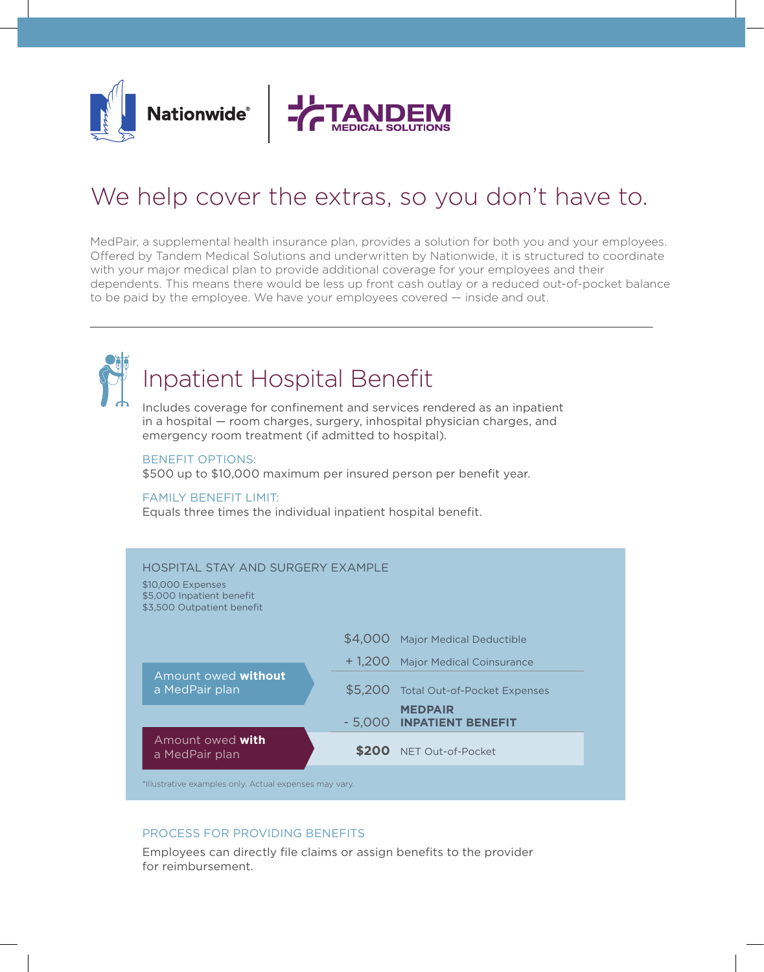



## We help cover the extras, so you don't have to.

MedPair, a supplemental health insurance plan, provides a solution for both you and your employees. Offered by Tandem Medical Solutions and underwritten by Nationwide, it is structured to coordinate with your major medical plan to provide additional coverage for your employees and their dependents. This means there would be less up front cash outlay or a reduced out-of-pocket balance to be paid by the employee. We have your employees covered — inside and out.



# **Inpatient Hospital Benefit**

Includes coverage for confinement and services rendered as an inpatient in a hospital — room charges, surgery, inhospital physician charges, and emergency room treatment (if admitted to hospital).

#### BENEFIT OPTIONS:

\$500 up to \$10,000 maximum per insured person per benefit year.

#### FAMILY BENEFIT LIMIT:

Equals three times the individual inpatient hospital benefit.



### PROCESS FOR PROVIDING BENEFITS

Employees can directly file claims or assign benefits to the provider for reimbursement.